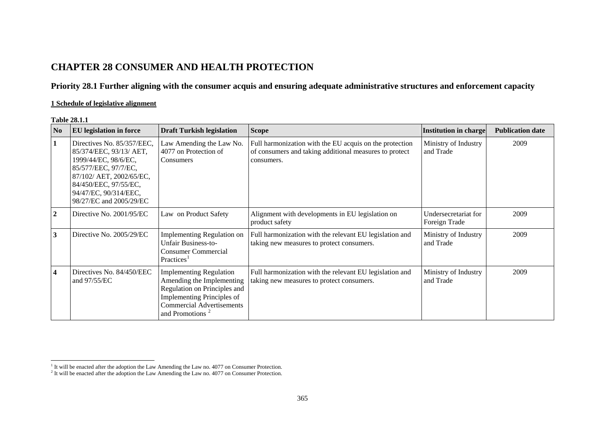# **CHAPTER 28 CONSUMER AND HEALTH PROTECTION**

## **Priority 28.1 Further aligning with the consumer acquis and ensuring adequate administrative structures and enforcement capacity**

## **1 Schedule of legislative alignment**

#### **Table 28.1.1**

| N <sub>0</sub> | <b>EU</b> legislation in force                                                                                                                                                                                 | <b>Draft Turkish legislation</b>                                                                                                                                                             | <b>Scope</b>                                                                                                                    | Institution in charge                 | <b>Publication date</b> |
|----------------|----------------------------------------------------------------------------------------------------------------------------------------------------------------------------------------------------------------|----------------------------------------------------------------------------------------------------------------------------------------------------------------------------------------------|---------------------------------------------------------------------------------------------------------------------------------|---------------------------------------|-------------------------|
| 1              | Directives No. 85/357/EEC,<br>85/374/EEC, 93/13/ AET,<br>1999/44/EC, 98/6/EC,<br>85/577/EEC, 97/7/EC,<br>87/102/ AET, 2002/65/EC,<br>84/450/EEC, 97/55/EC,<br>94/47/EC, 90/314/EEC,<br>98/27/EC and 2005/29/EC | Law Amending the Law No.<br>4077 on Protection of<br>Consumers                                                                                                                               | Full harmonization with the EU acquis on the protection<br>of consumers and taking additional measures to protect<br>consumers. | Ministry of Industry<br>and Trade     | 2009                    |
| $\overline{2}$ | Directive No. 2001/95/EC                                                                                                                                                                                       | Law on Product Safety                                                                                                                                                                        | Alignment with developments in EU legislation on<br>product safety                                                              | Undersecretariat for<br>Foreign Trade | 2009                    |
| 3              | Directive No. 2005/29/EC                                                                                                                                                                                       | Implementing Regulation on<br><b>Unfair Business-to-</b><br><b>Consumer Commercial</b><br>Practices <sup>1</sup>                                                                             | Full harmonization with the relevant EU legislation and<br>taking new measures to protect consumers.                            | Ministry of Industry<br>and Trade     | 2009                    |
| 4              | Directives No. 84/450/EEC<br>and $97/55/EC$                                                                                                                                                                    | <b>Implementing Regulation</b><br>Amending the Implementing<br>Regulation on Principles and<br>Implementing Principles of<br><b>Commercial Advertisements</b><br>and Promotions <sup>2</sup> | Full harmonization with the relevant EU legislation and<br>taking new measures to protect consumers.                            | Ministry of Industry<br>and Trade     | 2009                    |

<span id="page-0-1"></span><span id="page-0-0"></span> $<sup>1</sup>$  It will be enacted after the adoption the Law Amending the Law no. 4077 on Consumer Protection.</sup>

 $2$  It will be enacted after the adoption the Law Amending the Law no. 4077 on Consumer Protection.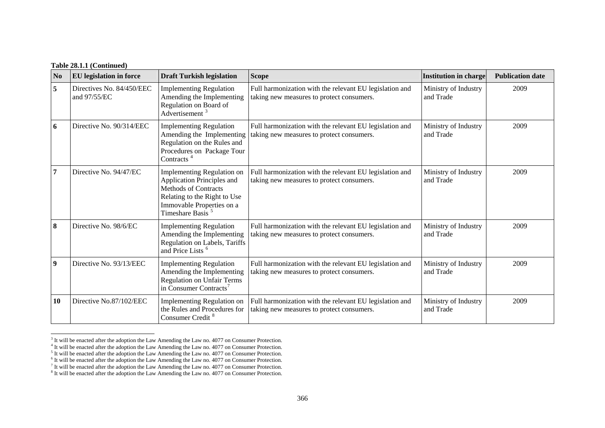### **Table 28.1.1 (Continued)**

| $\mathbf{N}\mathbf{0}$ | <b>EU</b> legislation in force            | <b>Draft Turkish legislation</b>                                                                                                                                                     | <b>Scope</b>                                                                                         | <b>Institution in charge</b>      | <b>Publication date</b> |
|------------------------|-------------------------------------------|--------------------------------------------------------------------------------------------------------------------------------------------------------------------------------------|------------------------------------------------------------------------------------------------------|-----------------------------------|-------------------------|
| 5                      | Directives No. 84/450/EEC<br>and 97/55/EC | <b>Implementing Regulation</b><br>Amending the Implementing<br>Regulation on Board of<br>Advertisement <sup>3</sup>                                                                  | Full harmonization with the relevant EU legislation and<br>taking new measures to protect consumers. | Ministry of Industry<br>and Trade | 2009                    |
| 6                      | Directive No. 90/314/EEC                  | <b>Implementing Regulation</b><br>Amending the Implementing<br>Regulation on the Rules and<br>Procedures on Package Tour<br>Contracts <sup>4</sup>                                   | Full harmonization with the relevant EU legislation and<br>taking new measures to protect consumers. | Ministry of Industry<br>and Trade | 2009                    |
| 7                      | Directive No. 94/47/EC                    | Implementing Regulation on<br>Application Principles and<br><b>Methods of Contracts</b><br>Relating to the Right to Use<br>Immovable Properties on a<br>Timeshare Basis <sup>5</sup> | Full harmonization with the relevant EU legislation and<br>taking new measures to protect consumers. | Ministry of Industry<br>and Trade | 2009                    |
| 8                      | Directive No. 98/6/EC                     | <b>Implementing Regulation</b><br>Amending the Implementing<br>Regulation on Labels, Tariffs<br>and Price Lists <sup>6</sup>                                                         | Full harmonization with the relevant EU legislation and<br>taking new measures to protect consumers. | Ministry of Industry<br>and Trade | 2009                    |
| $\boldsymbol{9}$       | Directive No. 93/13/EEC                   | <b>Implementing Regulation</b><br>Amending the Implementing<br><b>Regulation on Unfair Terms</b><br>in Consumer Contracts <sup>7</sup>                                               | Full harmonization with the relevant EU legislation and<br>taking new measures to protect consumers. | Ministry of Industry<br>and Trade | 2009                    |
| 10                     | Directive No.87/102/EEC                   | Implementing Regulation on<br>the Rules and Procedures for<br>Consumer Credit <sup>8</sup>                                                                                           | Full harmonization with the relevant EU legislation and<br>taking new measures to protect consumers. | Ministry of Industry<br>and Trade | 2009                    |

<span id="page-1-0"></span> $3$  It will be enacted after the adoption the Law Amending the Law no. 4077 on Consumer Protection.

<span id="page-1-1"></span><sup>&</sup>lt;sup>4</sup> It will be enacted after the adoption the Law Amending the Law no. 4077 on Consumer Protection.

<span id="page-1-2"></span> $<sup>5</sup>$  It will be enacted after the adoption the Law Amending the Law no. 4077 on Consumer Protection.</sup>

<span id="page-1-3"></span> $6$  It will be enacted after the adoption the Law Amending the Law no. 4077 on Consumer Protection.

<span id="page-1-4"></span> $<sup>7</sup>$  It will be enacted after the adoption the Law Amending the Law no. 4077 on Consumer Protection.</sup>

<span id="page-1-5"></span><sup>&</sup>lt;sup>8</sup> It will be enacted after the adoption the Law Amending the Law no. 4077 on Consumer Protection.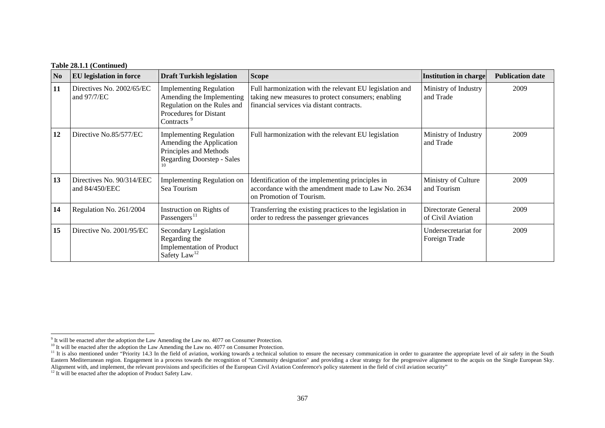#### **Table 28.1.1 (Continued)**

| N <sub>0</sub> | <b>EU</b> legislation in force              | <b>Draft Turkish legislation</b>                                                                                                               | <b>Scope</b>                                                                                                                                               | <b>Institution in charge</b>             | <b>Publication date</b> |
|----------------|---------------------------------------------|------------------------------------------------------------------------------------------------------------------------------------------------|------------------------------------------------------------------------------------------------------------------------------------------------------------|------------------------------------------|-------------------------|
| 11             | Directives No. 2002/65/EC<br>and $97/7$ /EC | <b>Implementing Regulation</b><br>Amending the Implementing<br>Regulation on the Rules and<br>Procedures for Distant<br>Contracts <sup>9</sup> | Full harmonization with the relevant EU legislation and<br>taking new measures to protect consumers; enabling<br>financial services via distant contracts. | Ministry of Industry<br>and Trade        | 2009                    |
| 12             | Directive No.85/577/EC                      | <b>Implementing Regulation</b><br>Amending the Application<br>Principles and Methods<br><b>Regarding Doorstep - Sales</b>                      | Full harmonization with the relevant EU legislation                                                                                                        | Ministry of Industry<br>and Trade        | 2009                    |
| 13             | Directives No. 90/314/EEC<br>and 84/450/EEC | <b>Implementing Regulation on</b><br>Sea Tourism                                                                                               | Identification of the implementing principles in<br>accordance with the amendment made to Law No. 2634<br>on Promotion of Tourism.                         | Ministry of Culture<br>and Tourism       | 2009                    |
| 14             | Regulation No. 261/2004                     | Instruction on Rights of<br>Passengers <sup>11</sup>                                                                                           | Transferring the existing practices to the legislation in<br>order to redress the passenger grievances                                                     | Directorate General<br>of Civil Aviation | 2009                    |
| 15             | Directive No. 2001/95/EC                    | Secondary Legislation<br>Regarding the<br><b>Implementation of Product</b><br>Safety Law <sup>12</sup>                                         |                                                                                                                                                            | Undersecretariat for<br>Foreign Trade    | 2009                    |

 $9$  It will be enacted after the adoption the Law Amending the Law no. 4077 on Consumer Protection.

 $10$  It will be enacted after the adoption the Law Amending the Law no. 4077 on Consumer Protection.

<span id="page-2-0"></span><sup>&</sup>lt;sup>11</sup> It is also mentioned under "Priority 14.3 In the field of aviation, working towards a technical solution to ensure the necessary communication in order to guarantee the appropriate level of air safety in the South Eastern Mediterranean region. Engagement in a process towards the recognition of "Community designation" and providing a clear strategy for the progressive alignment to the acquis on the Single European Sky.

Alignment with, and implement, the relevant provisions and specificities of the European Civil Aviation Conference's policy statement in the field of civil aviation security"<br><sup>12</sup> It will be enacted after the adoption of P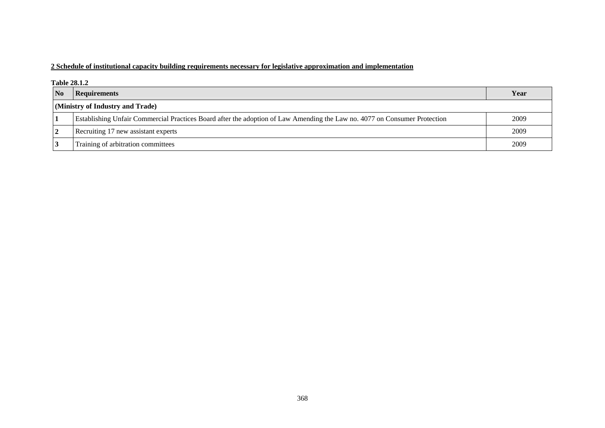## **2 Schedule of institutional capacity building requirements necessary for legislative approximation and implementation**

#### **Table 28.1.2**

| $\overline{\mathbf{N}}$          | <b>Requirements</b>                                                                                                       | Year |  |  |
|----------------------------------|---------------------------------------------------------------------------------------------------------------------------|------|--|--|
| (Ministry of Industry and Trade) |                                                                                                                           |      |  |  |
|                                  | Establishing Unfair Commercial Practices Board after the adoption of Law Amending the Law no. 4077 on Consumer Protection | 2009 |  |  |
| 2                                | Recruiting 17 new assistant experts                                                                                       | 2009 |  |  |
|                                  | Training of arbitration committees                                                                                        | 2009 |  |  |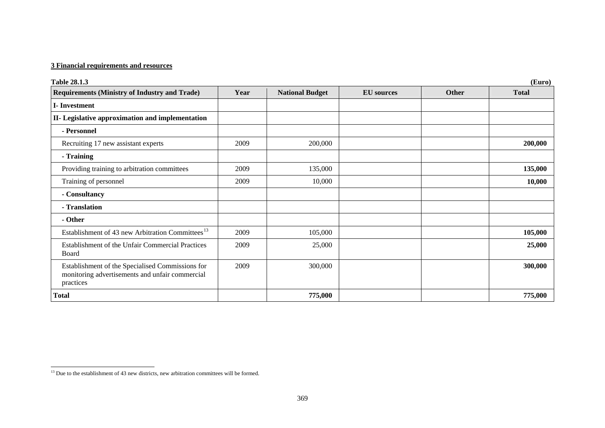## **3 Financial requirements and resources**

| <b>Table 28.1.3</b>                                                                                              | (Euro) |                        |                   |              |              |  |  |
|------------------------------------------------------------------------------------------------------------------|--------|------------------------|-------------------|--------------|--------------|--|--|
| <b>Requirements (Ministry of Industry and Trade)</b>                                                             | Year   | <b>National Budget</b> | <b>EU</b> sources | <b>Other</b> | <b>Total</b> |  |  |
| <b>I-Investment</b>                                                                                              |        |                        |                   |              |              |  |  |
| II- Legislative approximation and implementation                                                                 |        |                        |                   |              |              |  |  |
| - Personnel                                                                                                      |        |                        |                   |              |              |  |  |
| Recruiting 17 new assistant experts                                                                              | 2009   | 200,000                |                   |              | 200,000      |  |  |
| - Training                                                                                                       |        |                        |                   |              |              |  |  |
| Providing training to arbitration committees                                                                     | 2009   | 135,000                |                   |              | 135,000      |  |  |
| Training of personnel                                                                                            | 2009   | 10,000                 |                   |              | 10,000       |  |  |
| - Consultancy                                                                                                    |        |                        |                   |              |              |  |  |
| - Translation                                                                                                    |        |                        |                   |              |              |  |  |
| - Other                                                                                                          |        |                        |                   |              |              |  |  |
| Establishment of 43 new Arbitration Committees <sup>13</sup>                                                     | 2009   | 105,000                |                   |              | 105,000      |  |  |
| Establishment of the Unfair Commercial Practices<br>Board                                                        | 2009   | 25,000                 |                   |              | 25,000       |  |  |
| Establishment of the Specialised Commissions for<br>monitoring advertisements and unfair commercial<br>practices | 2009   | 300,000                |                   |              | 300,000      |  |  |
| Total                                                                                                            |        | 775,000                |                   |              | 775,000      |  |  |

<u> 1980 - Johann Barnett, fransk konge</u>

<span id="page-4-0"></span><sup>&</sup>lt;sup>13</sup> Due to the establishment of 43 new districts, new arbitration committees will be formed.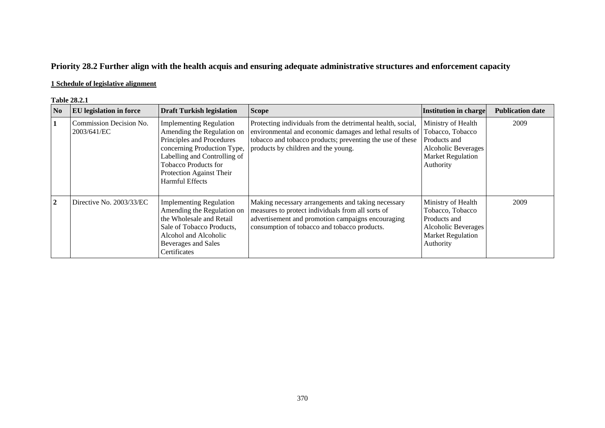# **Priority 28.2 Further align with the health acquis and ensuring adequate administrative structures and enforcement capacity**

## **1 Schedule of legislative alignment**

#### **Table 28.2.1**

| N <sub>0</sub> | <b>EU</b> legislation in force         | <b>Draft Turkish legislation</b>                                                                                                                                                                                                       | <b>Scope</b>                                                                                                                                                                                                                | Institution in charge                                                                                                         | <b>Publication date</b> |
|----------------|----------------------------------------|----------------------------------------------------------------------------------------------------------------------------------------------------------------------------------------------------------------------------------------|-----------------------------------------------------------------------------------------------------------------------------------------------------------------------------------------------------------------------------|-------------------------------------------------------------------------------------------------------------------------------|-------------------------|
|                | Commission Decision No.<br>2003/641/EC | <b>Implementing Regulation</b><br>Amending the Regulation on<br>Principles and Procedures<br>concerning Production Type,<br>Labelling and Controlling of<br><b>Tobacco Products for</b><br>Protection Against Their<br>Harmful Effects | Protecting individuals from the detrimental health, social,<br>environmental and economic damages and lethal results of<br>tobacco and tobacco products; preventing the use of these<br>products by children and the young. | Ministry of Health<br>Tobacco, Tobacco<br>Products and<br>Alcoholic Beverages<br><b>Market Regulation</b><br>Authority        | 2009                    |
| $\mathbf{2}$   | Directive No. 2003/33/EC               | <b>Implementing Regulation</b><br>Amending the Regulation on<br>the Wholesale and Retail<br>Sale of Tobacco Products,<br>Alcohol and Alcoholic<br>Beverages and Sales<br>Certificates                                                  | Making necessary arrangements and taking necessary<br>measures to protect individuals from all sorts of<br>advertisement and promotion campaigns encouraging<br>consumption of tobacco and tobacco products.                | Ministry of Health<br>Tobacco, Tobacco<br>Products and<br><b>Alcoholic Beverages</b><br><b>Market Regulation</b><br>Authority | 2009                    |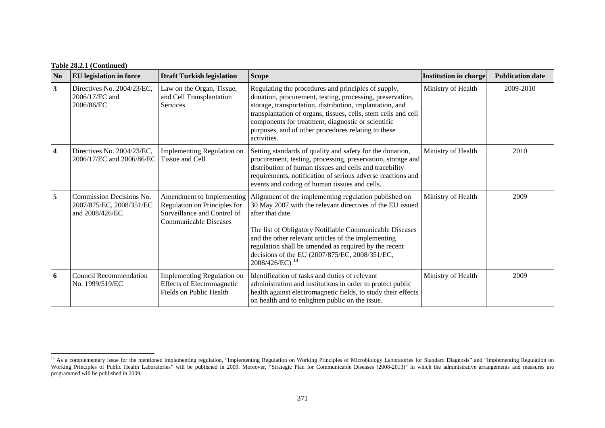| N <sub>0</sub>          | <b>EU</b> legislation in force                                          | <b>Draft Turkish legislation</b>                                                                                         | <b>Scope</b>                                                                                                                                                                                                                                                                                                                                                                                      | <b>Institution in charge</b> | <b>Publication date</b> |
|-------------------------|-------------------------------------------------------------------------|--------------------------------------------------------------------------------------------------------------------------|---------------------------------------------------------------------------------------------------------------------------------------------------------------------------------------------------------------------------------------------------------------------------------------------------------------------------------------------------------------------------------------------------|------------------------------|-------------------------|
| $\mathbf{3}$            | Directives No. 2004/23/EC,<br>2006/17/EC and<br>2006/86/EC              | Law on the Organ, Tissue,<br>and Cell Transplantation<br><b>Services</b>                                                 | Regulating the procedures and principles of supply,<br>donation, procurement, testing, processing, preservation,<br>storage, transportation, distribution, implantation, and<br>transplantation of organs, tissues, cells, stem cells and cell<br>components for treatment, diagnostic or scientific<br>purposes, and of other procedures relating to these<br>activities.                        | Ministry of Health           | 2009-2010               |
| $\overline{\mathbf{4}}$ | Directives No. 2004/23/EC,<br>2006/17/EC and 2006/86/EC                 | <b>Implementing Regulation on</b><br>Tissue and Cell                                                                     | Setting standards of quality and safety for the donation,<br>procurement, testing, processing, preservation, storage and<br>distribution of human tissues and cells and tracebility<br>requirements, notification of serious adverse reactions and<br>events and coding of human tissues and cells.                                                                                               | Ministry of Health           | 2010                    |
| 5                       | Commission Decisions No.<br>2007/875/EC, 2008/351/EC<br>and 2008/426/EC | Amendment to Implementing<br>Regulation on Principles for<br>Surveillance and Control of<br><b>Communicable Diseases</b> | Alignment of the implementing regulation published on<br>30 May 2007 with the relevant directives of the EU issued<br>after that date.<br>The list of Obligatory Notifiable Communicable Diseases<br>and the other relevant articles of the implementing<br>regulation shall be amended as required by the recent<br>decisions of the EU (2007/875/EC, 2008/351/EC,<br>2008/426/EC) <sup>14</sup> | Ministry of Health           | 2009                    |
| 6                       | Council Recommendation<br>No. 1999/519/EC                               | <b>Implementing Regulation on</b><br><b>Effects of Electromagnetic</b><br>Fields on Public Health                        | Identification of tasks and duties of relevant<br>administration and institutions in order to protect public<br>health against electromagnetic fields, to study their effects<br>on health and to enlighten public on the issue.                                                                                                                                                                  | Ministry of Health           | 2009                    |

<span id="page-6-0"></span><sup>&</sup>lt;sup>14</sup> As a complementary issue for the mentioned implementing regulation, "Implementing Regulation on Working Principles of Microbiology Laboratories for Standard Diagnosis" and "Implementing Regulation on Working Principles of Public Health Laboratories" will be published in 2009. Moreover, "Strategic Plan for Communicable Diseases (2008-2013)" in which the administrative arrangements and measures are programmed will be published in 2009.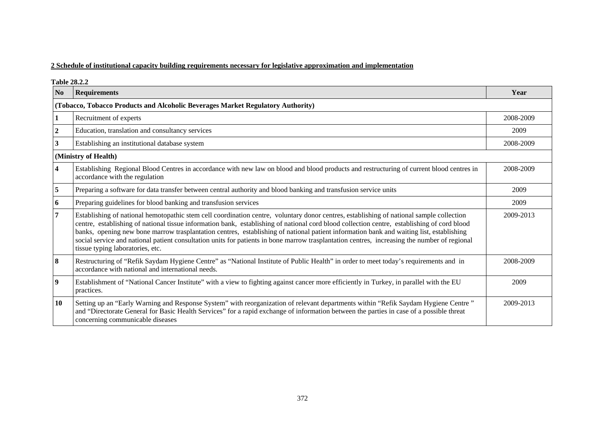#### **2 Schedule of institutional capacity building requirements necessary for legislative approximation and implementation**

**Table 28.2.2 No Requirements Year (Tobacco, Tobacco Products and Alcoholic Beverages Market Regulatory Authority) 1 Recruitment of experts** 2008-2009 **2** Education, translation and consultancy services 2009 **3** Establishing an institutional database system 2008-2009 **(Ministry of Health) 4** Establishing Regional Blood Centres in accordance with new law on blood and blood products and restructuring of current blood centres in accordance with the regulation 2008-2009 **5** Preparing a software for data transfer between central authority and blood banking and transfusion service units 2009 **6** Preparing guidelines for blood banking and transfusion services 2009 **7** Establishing of national hemotopathic stem cell coordination centre, voluntary donor centres, establishing of national sample collection centre, establishing of national tissue information bank, establishing of national cord blood collection centre, establishing of cord blood banks, opening new bone marrow trasplantation centres, establishing of national patient information bank and waiting list, establishing social service and national patient consultation units for patients in bone marrow trasplantation centres, increasing the number of regional tissue typing laboratories, etc. 2009-2013 **8 Restructuring of "Refik Saydam Hygiene Centre" as "National Institute of Public Health" in order to meet today's requirements and in** accordance with national and international needs. 2008-2009 **9** Establishment of "National Cancer Institute" with a view to fighting against cancer more efficiently in Turkey, in parallel with the EU practices. 2009 **10** Setting up an "Early Warning and Response System" with reorganization of relevant departments within "Refik Saydam Hygiene Centre " and "Directorate General for Basic Health Services" for a rapid exchange of information between the parties in case of a possible threat concerning communicable diseases 2009-2013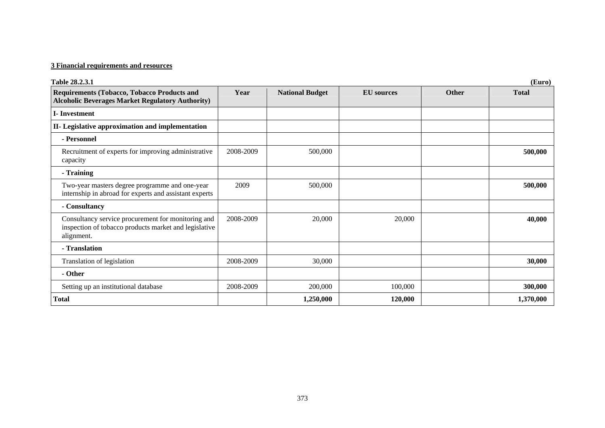## **3 Financial requirements and resources**

| Table 28.2.3.1                                                                                                            | (Euro)    |                        |                   |              |              |  |  |
|---------------------------------------------------------------------------------------------------------------------------|-----------|------------------------|-------------------|--------------|--------------|--|--|
| Requirements (Tobacco, Tobacco Products and<br><b>Alcoholic Beverages Market Regulatory Authority)</b>                    | Year      | <b>National Budget</b> | <b>EU</b> sources | <b>Other</b> | <b>Total</b> |  |  |
| <b>I</b> -Investment                                                                                                      |           |                        |                   |              |              |  |  |
| II- Legislative approximation and implementation                                                                          |           |                        |                   |              |              |  |  |
| - Personnel                                                                                                               |           |                        |                   |              |              |  |  |
| Recruitment of experts for improving administrative<br>capacity                                                           | 2008-2009 | 500,000                |                   |              | 500,000      |  |  |
| - Training                                                                                                                |           |                        |                   |              |              |  |  |
| Two-year masters degree programme and one-year<br>internship in abroad for experts and assistant experts                  | 2009      | 500,000                |                   |              | 500,000      |  |  |
| - Consultancy                                                                                                             |           |                        |                   |              |              |  |  |
| Consultancy service procurement for monitoring and<br>inspection of tobacco products market and legislative<br>alignment. | 2008-2009 | 20,000                 | 20,000            |              | 40,000       |  |  |
| - Translation                                                                                                             |           |                        |                   |              |              |  |  |
| Translation of legislation                                                                                                | 2008-2009 | 30,000                 |                   |              | 30,000       |  |  |
| - Other                                                                                                                   |           |                        |                   |              |              |  |  |
| Setting up an institutional database                                                                                      | 2008-2009 | 200,000                | 100,000           |              | 300,000      |  |  |
| <b>Total</b>                                                                                                              |           | 1,250,000              | 120,000           |              | 1,370,000    |  |  |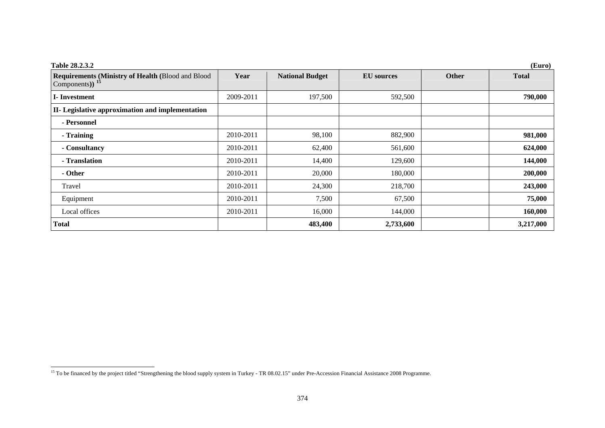| Table 28.2.3.2                                                                   | (Euro)    |                        |                   |       |              |  |
|----------------------------------------------------------------------------------|-----------|------------------------|-------------------|-------|--------------|--|
| <b>Requirements (Ministry of Health (Blood and Blood)</b><br>Components) $^{15}$ | Year      | <b>National Budget</b> | <b>EU</b> sources | Other | <b>Total</b> |  |
| <b>I</b> -Investment                                                             | 2009-2011 | 197,500                | 592,500           |       | 790,000      |  |
| II- Legislative approximation and implementation                                 |           |                        |                   |       |              |  |
| - Personnel                                                                      |           |                        |                   |       |              |  |
| - Training                                                                       | 2010-2011 | 98,100                 | 882,900           |       | 981,000      |  |
| - Consultancy                                                                    | 2010-2011 | 62,400                 | 561,600           |       | 624,000      |  |
| - Translation                                                                    | 2010-2011 | 14,400                 | 129,600           |       | 144,000      |  |
| - Other                                                                          | 2010-2011 | 20,000                 | 180,000           |       | 200,000      |  |
| Travel                                                                           | 2010-2011 | 24,300                 | 218,700           |       | 243,000      |  |
| Equipment                                                                        | 2010-2011 | 7,500                  | 67,500            |       | 75,000       |  |
| Local offices                                                                    | 2010-2011 | 16,000                 | 144,000           |       | 160,000      |  |
| Total                                                                            |           | 483,400                | 2,733,600         |       | 3,217,000    |  |

<span id="page-9-0"></span><sup>&</sup>lt;sup>15</sup> To be financed by the project titled "Strengthening the blood supply system in Turkey - TR 08.02.15" under Pre-Accession Financial Assistance 2008 Programme.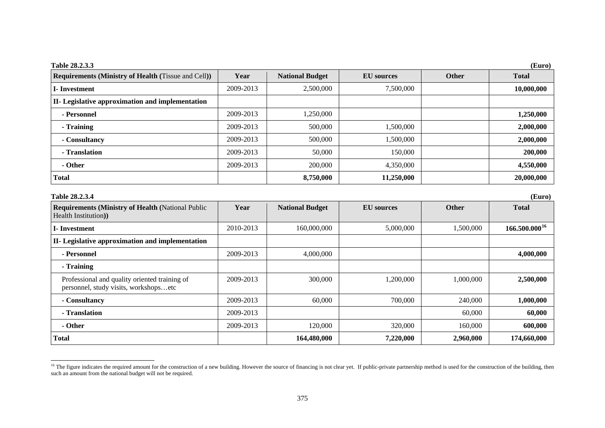| <b>Table 28.2.3.3</b>                                                             |           |                        |                   |              | (Euro)             |
|-----------------------------------------------------------------------------------|-----------|------------------------|-------------------|--------------|--------------------|
| <b>Requirements (Ministry of Health (Tissue and Cell))</b>                        | Year      | <b>National Budget</b> | <b>EU</b> sources | <b>Other</b> | <b>Total</b>       |
| <b>I</b> -Investment                                                              | 2009-2013 | 2,500,000              | 7,500,000         |              | 10,000,000         |
| II- Legislative approximation and implementation                                  |           |                        |                   |              |                    |
| - Personnel                                                                       | 2009-2013 | 1,250,000              |                   |              | 1,250,000          |
| - Training                                                                        | 2009-2013 | 500,000                | 1,500,000         |              | 2,000,000          |
| - Consultancy                                                                     | 2009-2013 | 500,000                | 1,500,000         |              | 2,000,000          |
| - Translation                                                                     | 2009-2013 | 50,000                 | 150,000           |              | 200,000            |
| - Other                                                                           | 2009-2013 | 200,000                | 4,350,000         |              | 4,550,000          |
| <b>Total</b>                                                                      |           | 8,750,000              | 11,250,000        |              | 20,000,000         |
| Table 28.2.3.4                                                                    |           |                        |                   |              | (Euro)             |
| <b>Requirements (Ministry of Health (National Public)</b><br>Health Institution)) | Year      | <b>National Budget</b> | <b>EU</b> sources | Other        | <b>Total</b>       |
| <b>I</b> -Investment                                                              | 2010-2013 | 160,000,000            | 5,000,000         | 1,500,000    | $166.500.000^{16}$ |
| II- Legislative approximation and implementation                                  |           |                        |                   |              |                    |
| - Personnel                                                                       | 2009-2013 | 4,000,000              |                   |              | 4,000,000          |
| - Training                                                                        |           |                        |                   |              |                    |
| Professional and quality oriented training of                                     | 2009-2013 | 300,000                | 1,200,000         | 1,000,000    | 2,500,000          |

**- Consultancy** 2009-2013 60,000 700,000 240,000 **1,000,000 - Translation** 2009-2013 60,000 **60,000 - Other** 2009-2013 120,000 320,000 160,000 **600,000 Total 164,480,000 7,220,000 2,960,000 174,660,000** 

personnel, study visits, workshops…etc

<span id="page-10-0"></span><sup>&</sup>lt;sup>16</sup> The figure indicates the required amount for the construction of a new building. However the source of financing is not clear yet. If public-private partnership method is used for the construction of the building, th such an amount from the national budget will not be required.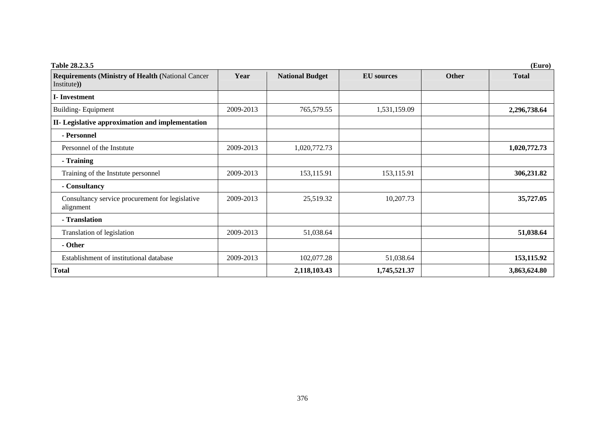| <b>Table 28.2.3.5</b><br>(Euro)                                         |           |                        |                   |              |              |  |  |
|-------------------------------------------------------------------------|-----------|------------------------|-------------------|--------------|--------------|--|--|
| <b>Requirements (Ministry of Health (National Cancer</b><br>Institute)) | Year      | <b>National Budget</b> | <b>EU</b> sources | <b>Other</b> | <b>Total</b> |  |  |
| <b>I</b> -Investment                                                    |           |                        |                   |              |              |  |  |
| <b>Building-Equipment</b>                                               | 2009-2013 | 765,579.55             | 1,531,159.09      |              | 2,296,738.64 |  |  |
| II- Legislative approximation and implementation                        |           |                        |                   |              |              |  |  |
| - Personnel                                                             |           |                        |                   |              |              |  |  |
| Personnel of the Institute                                              | 2009-2013 | 1,020,772.73           |                   |              | 1,020,772.73 |  |  |
| - Training                                                              |           |                        |                   |              |              |  |  |
| Training of the Institute personnel                                     | 2009-2013 | 153,115.91             | 153,115.91        |              | 306,231.82   |  |  |
| - Consultancy                                                           |           |                        |                   |              |              |  |  |
| Consultancy service procurement for legislative<br>alignment            | 2009-2013 | 25,519.32              | 10,207.73         |              | 35,727.05    |  |  |
| - Translation                                                           |           |                        |                   |              |              |  |  |
| Translation of legislation                                              | 2009-2013 | 51,038.64              |                   |              | 51,038.64    |  |  |
| - Other                                                                 |           |                        |                   |              |              |  |  |
| Establishment of institutional database                                 | 2009-2013 | 102,077.28             | 51,038.64         |              | 153, 115.92  |  |  |
| <b>Total</b>                                                            |           | 2,118,103.43           | 1,745,521.37      |              | 3,863,624.80 |  |  |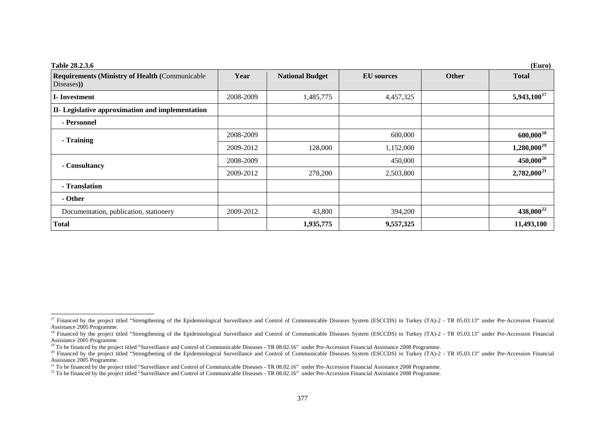| Table 28.2.3.6                                         |           |                        |                   |              | (Euro)                |
|--------------------------------------------------------|-----------|------------------------|-------------------|--------------|-----------------------|
| <b>Requirements (Ministry of Health (Communicable)</b> | Year      | <b>National Budget</b> | <b>EU</b> sources | <b>Other</b> | <b>Total</b>          |
| Diseases)                                              |           |                        |                   |              |                       |
| <b>I</b> -Investment                                   | 2008-2009 | 1,485,775              | 4,457,325         |              | $5,943,100^{17}$      |
| II- Legislative approximation and implementation       |           |                        |                   |              |                       |
| - Personnel                                            |           |                        |                   |              |                       |
| - Training                                             | 2008-2009 |                        | 600,000           |              | $600,000^{18}$        |
|                                                        | 2009-2012 | 128,000                | 1,152,000         |              | $1,280,000^{19}$      |
| - Consultancy                                          | 2008-2009 |                        | 450,000           |              | $450,000^{20}$        |
|                                                        | 2009-2012 | 278,200                | 2,503,800         |              | $2,782,000^{21}$      |
| - Translation                                          |           |                        |                   |              |                       |
| - Other                                                |           |                        |                   |              |                       |
| Documentation, publication, stationery                 | 2009-2012 | 43,800                 | 394,200           |              | 438,000 <sup>22</sup> |
| <b>Total</b>                                           |           | 1,935,775              | 9,557,325         |              | 11,493,100            |

<span id="page-12-0"></span><sup>&</sup>lt;sup>17</sup> Financed by the project titled "Strengthening of the Epidemiological Surveillance and Control of Communicable Diseases System (ESCCDS) in Turkey (TA)-2 - TR 05.03.13" under Pre-Accession Financial Assistance 2005 Programme.

<span id="page-12-1"></span><sup>&</sup>lt;sup>18</sup> Financed by the project titled "Strengthening of the Epidemiological Surveillance and Control of Communicable Diseases System (ESCCDS) in Turkey (TA)-2 - TR 05.03.13" under Pre-Accession Financial Assistance 2005 Programme.

<sup>&</sup>lt;sup>19</sup> To be financed by the project titled "Surveillance and Control of Communicable Diseases - TR 08.02.16" under Pre-Accession Financial Assistance 2008 Programme.

<span id="page-12-3"></span><span id="page-12-2"></span><sup>&</sup>lt;sup>20</sup> Financed by the project titled "Strengthening of the Epidemiological Surveillance and Control of Communicable Diseases System (ESCCDS) in Turkey (TA)-2 - TR 05.03.13" under Pre-Accession Financial Assistance 2005 Programme.

<sup>&</sup>lt;sup>21</sup> To be financed by the project titled "Surveillance and Control of Communicable Diseases - TR 08.02.16" under Pre-Accession Financial Assistance 2008 Programme.

<span id="page-12-5"></span><span id="page-12-4"></span><sup>&</sup>lt;sup>22</sup> To be financed by the project titled "Surveillance and Control of Communicable Diseases - TR 08.02.16" under Pre-Accession Financial Assistance 2008 Programme.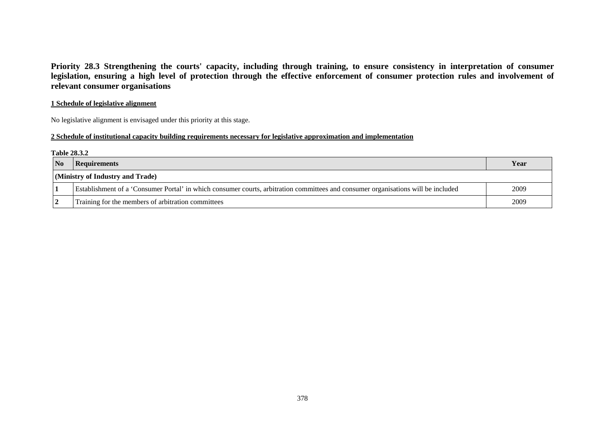**Priority 28.3 Strengthening the courts' capacity, including through training, to ensure consistency in interpretation of consumer**  legislation, ensuring a high level of protection through the effective enforcement of consumer protection rules and involvement of **relevant consumer organisations** 

### **1 Schedule of legislative alignment**

No legislative alignment is envisaged under this priority at this stage.

### **2 Schedule of institutional capacity building requirements necessary for legislative approximation and implementation**

#### **Table 28.3.2**

| $\overline{\mathbf{N}}$          | <b>Requirements</b>                                                                                                               | Year |  |  |
|----------------------------------|-----------------------------------------------------------------------------------------------------------------------------------|------|--|--|
| (Ministry of Industry and Trade) |                                                                                                                                   |      |  |  |
|                                  | Establishment of a 'Consumer Portal' in which consumer courts, arbitration committees and consumer organisations will be included | 2009 |  |  |
|                                  | Training for the members of arbitration committees                                                                                | 2009 |  |  |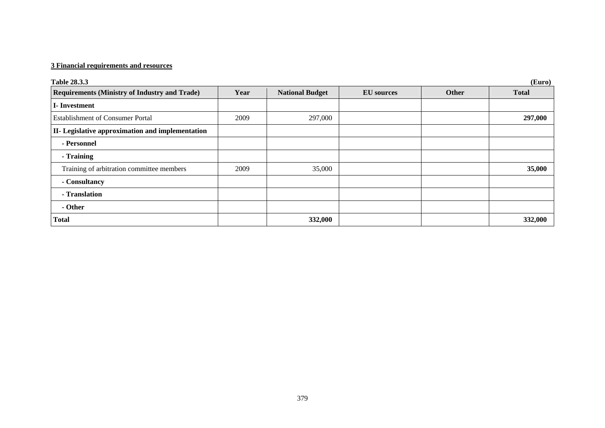## **3 Financial requirements and resources**

| (Euro)<br><b>Table 28.3.3</b>                        |      |                        |                   |       |              |
|------------------------------------------------------|------|------------------------|-------------------|-------|--------------|
| <b>Requirements (Ministry of Industry and Trade)</b> | Year | <b>National Budget</b> | <b>EU</b> sources | Other | <b>Total</b> |
| <b>I</b> -Investment                                 |      |                        |                   |       |              |
| <b>Establishment of Consumer Portal</b>              | 2009 | 297,000                |                   |       | 297,000      |
| II- Legislative approximation and implementation     |      |                        |                   |       |              |
| - Personnel                                          |      |                        |                   |       |              |
| - Training                                           |      |                        |                   |       |              |
| Training of arbitration committee members            | 2009 | 35,000                 |                   |       | 35,000       |
| - Consultancy                                        |      |                        |                   |       |              |
| - Translation                                        |      |                        |                   |       |              |
| - Other                                              |      |                        |                   |       |              |
| <b>Total</b>                                         |      | 332,000                |                   |       | 332,000      |